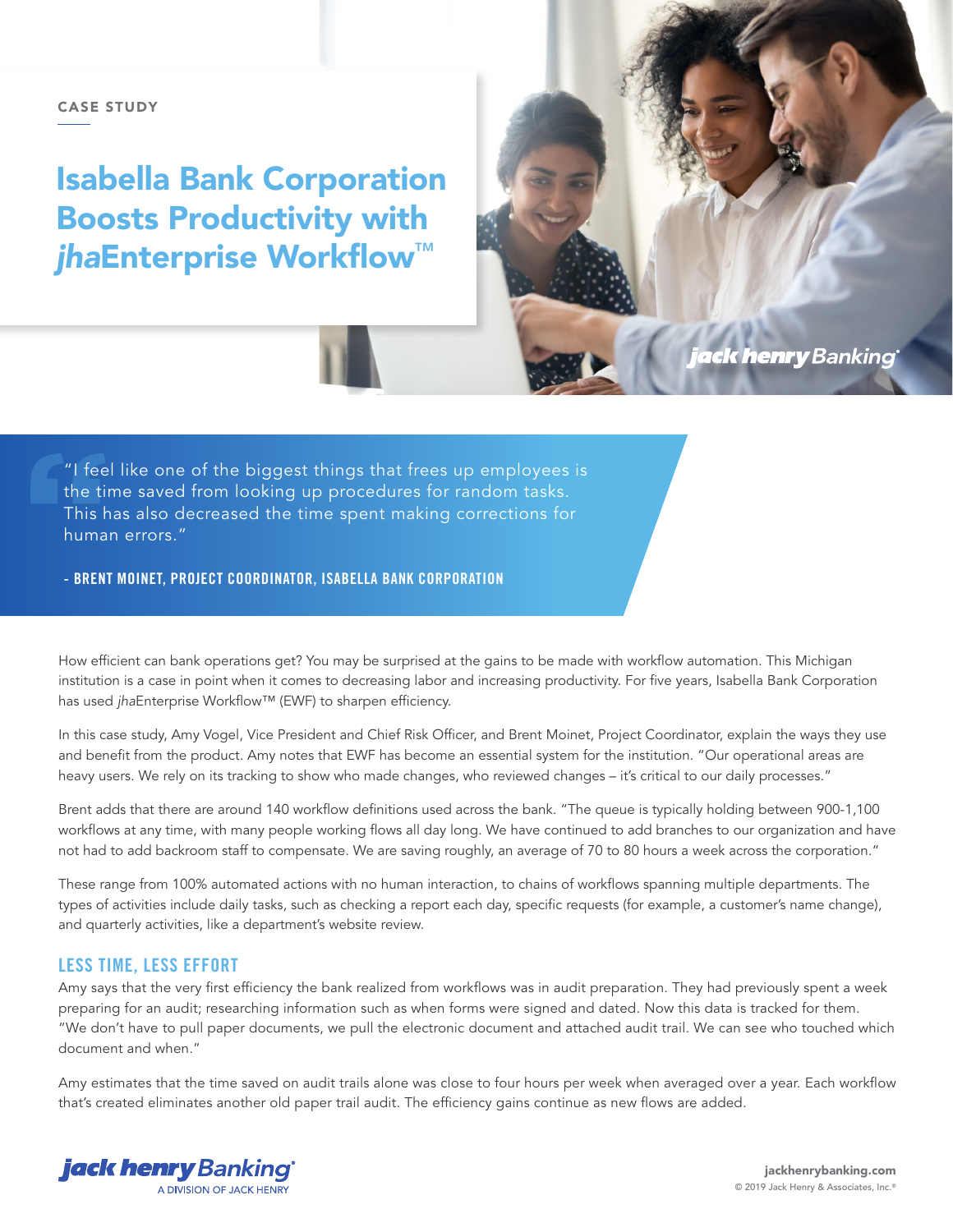#### CASE STUDY

# Isabella Bank Corporation Boosts Productivity with *jha*Enterprise Workflow™

i<mark>ack henry</mark> Banking

"I feel like one of the biggest things that frees up employees is the time saved from looking up procedures for random tasks. This has also decreased the time spent making corrections for human errors."

- BRENT MOINET, PROJECT COORDINATOR, ISABELLA BANK CORPORATION

How efficient can bank operations get? You may be surprised at the gains to be made with workflow automation. This Michigan institution is a case in point when it comes to decreasing labor and increasing productivity. For five years, Isabella Bank Corporation has used *jha*Enterprise Workflow™ (EWF) to sharpen efficiency.

In this case study, Amy Vogel, Vice President and Chief Risk Officer, and Brent Moinet, Project Coordinator, explain the ways they use and benefit from the product. Amy notes that EWF has become an essential system for the institution. "Our operational areas are heavy users. We rely on its tracking to show who made changes, who reviewed changes – it's critical to our daily processes."

Brent adds that there are around 140 workflow definitions used across the bank. "The queue is typically holding between 900-1,100 workflows at any time, with many people working flows all day long. We have continued to add branches to our organization and have not had to add backroom staff to compensate. We are saving roughly, an average of 70 to 80 hours a week across the corporation."

These range from 100% automated actions with no human interaction, to chains of workflows spanning multiple departments. The types of activities include daily tasks, such as checking a report each day, specific requests (for example, a customer's name change), and quarterly activities, like a department's website review.

## LESS TIME, LESS EFFORT

Amy says that the very first efficiency the bank realized from workflows was in audit preparation. They had previously spent a week preparing for an audit; researching information such as when forms were signed and dated. Now this data is tracked for them. "We don't have to pull paper documents, we pull the electronic document and attached audit trail. We can see who touched which document and when."

Amy estimates that the time saved on audit trails alone was close to four hours per week when averaged over a year. Each workflow that's created eliminates another old paper trail audit. The efficiency gains continue as new flows are added.

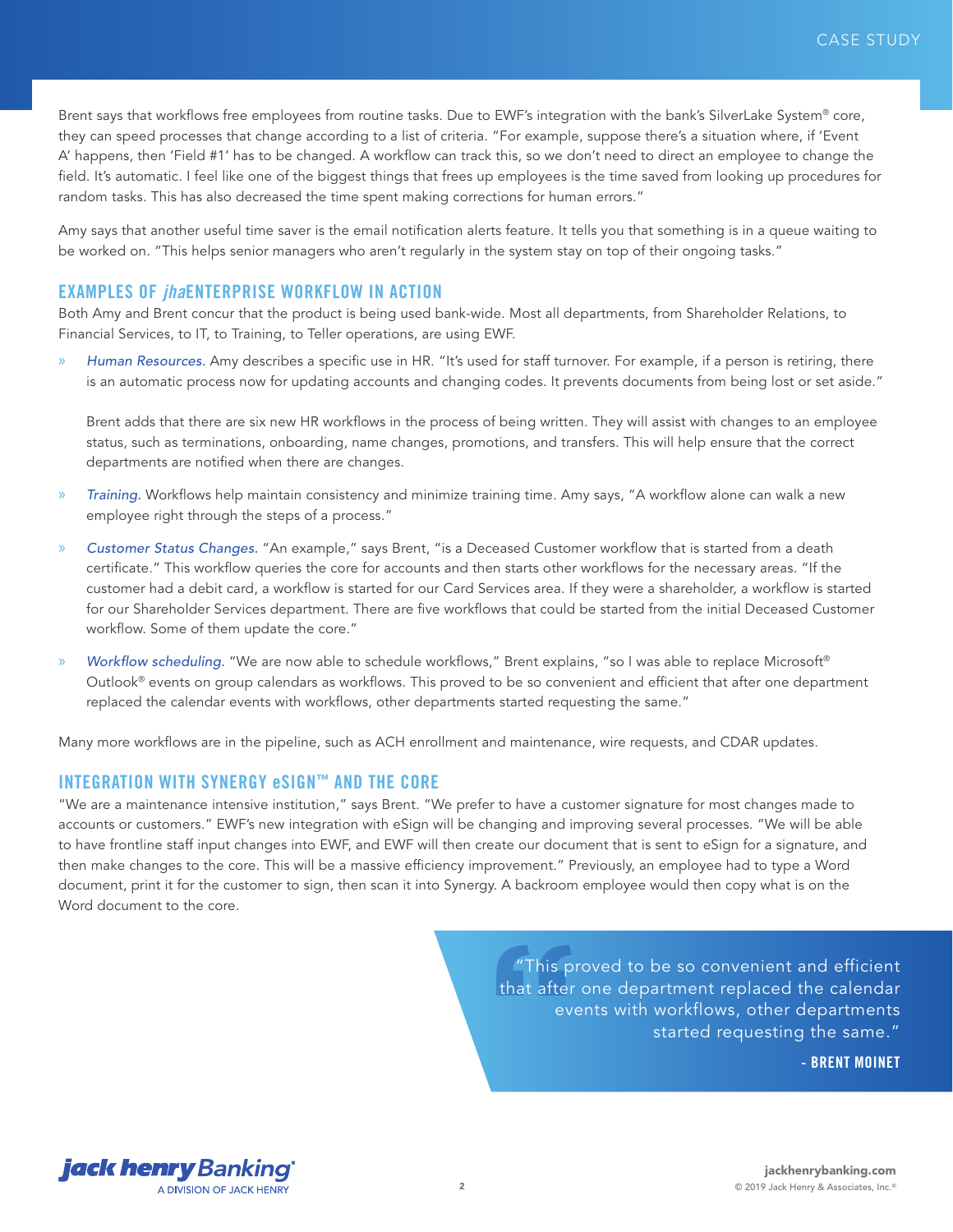Brent says that workflows free employees from routine tasks. Due to EWF's integration with the bank's SilverLake System® core, they can speed processes that change according to a list of criteria. "For example, suppose there's a situation where, if 'Event A' happens, then 'Field #1' has to be changed. A workflow can track this, so we don't need to direct an employee to change the field. It's automatic. I feel like one of the biggest things that frees up employees is the time saved from looking up procedures for random tasks. This has also decreased the time spent making corrections for human errors."

Amy says that another useful time saver is the email notification alerts feature. It tells you that something is in a queue waiting to be worked on. "This helps senior managers who aren't regularly in the system stay on top of their ongoing tasks."

#### EXAMPLES OF *jha*ENTERPRISE WORKFLOW IN ACTION

Both Amy and Brent concur that the product is being used bank-wide. Most all departments, from Shareholder Relations, to Financial Services, to IT, to Training, to Teller operations, are using EWF.

» *Human Resources.* Amy describes a specific use in HR. "It's used for staff turnover. For example, if a person is retiring, there is an automatic process now for updating accounts and changing codes. It prevents documents from being lost or set aside."

Brent adds that there are six new HR workflows in the process of being written. They will assist with changes to an employee status, such as terminations, onboarding, name changes, promotions, and transfers. This will help ensure that the correct departments are notified when there are changes.

- » *Training.* Workflows help maintain consistency and minimize training time. Amy says, "A workflow alone can walk a new employee right through the steps of a process."
- » *Customer Status Changes.* "An example," says Brent, "is a Deceased Customer workflow that is started from a death certificate." This workflow queries the core for accounts and then starts other workflows for the necessary areas. "If the customer had a debit card, a workflow is started for our Card Services area. If they were a shareholder, a workflow is started for our Shareholder Services department. There are five workflows that could be started from the initial Deceased Customer workflow. Some of them update the core."
- » *Workflow scheduling.* "We are now able to schedule workflows," Brent explains, "so I was able to replace Microsoft® Outlook® events on group calendars as workflows. This proved to be so convenient and efficient that after one department replaced the calendar events with workflows, other departments started requesting the same."

Many more workflows are in the pipeline, such as ACH enrollment and maintenance, wire requests, and CDAR updates.

## INTEGRATION WITH SYNERGY eSIGN™ AND THE CORE

"We are a maintenance intensive institution," says Brent. "We prefer to have a customer signature for most changes made to accounts or customers." EWF's new integration with eSign will be changing and improving several processes. "We will be able to have frontline staff input changes into EWF, and EWF will then create our document that is sent to eSign for a signature, and then make changes to the core. This will be a massive efficiency improvement." Previously, an employee had to type a Word document, print it for the customer to sign, then scan it into Synergy. A backroom employee would then copy what is on the Word document to the core.

> "This proved to be so convenient and efficient that after one department replaced the calendar events with workflows, other departments started requesting the same."

> > - BRENT MOINET